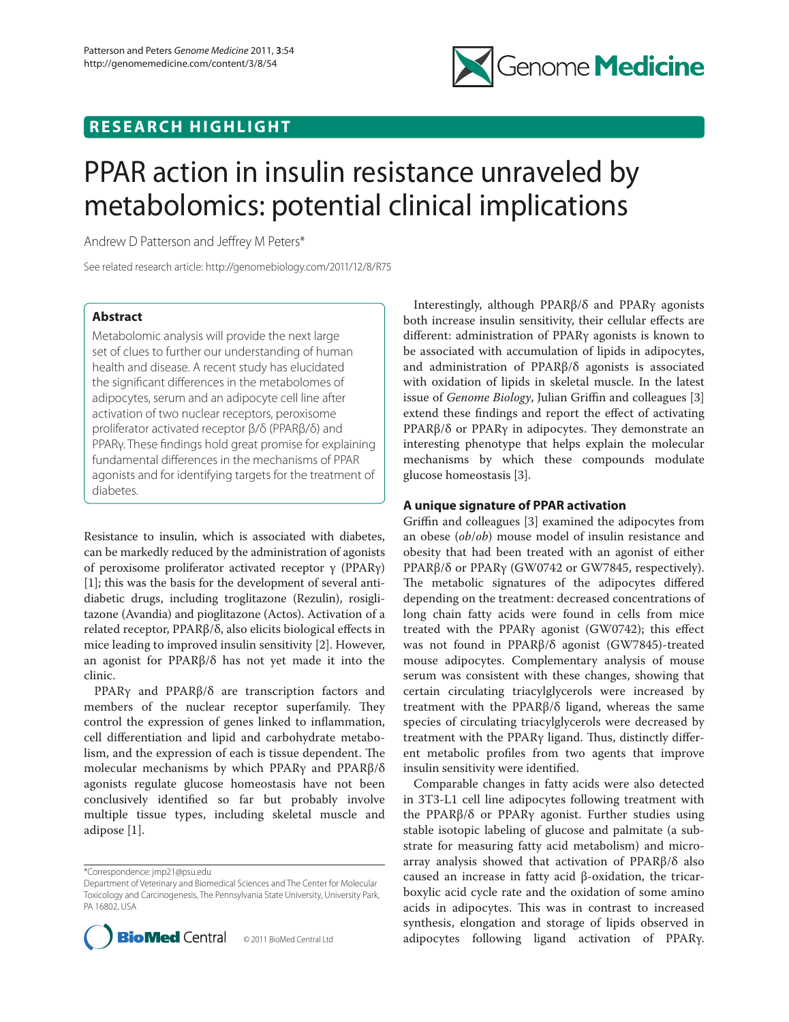

# **RESEARCH HIGHLIGHT**

# PPAR action in insulin resistance unraveled by metabolomics: potential clinical implications

Andrew D Patterson and Jeffrey M Peters\*

See related research article: http://genomebiology.com/2011/12/8/R75

# **Abstract**

Metabolomic analysis will provide the next large set of clues to further our understanding of human health and disease. A recent study has elucidated the significant differences in the metabolomes of adipocytes, serum and an adipocyte cell line after activation of two nuclear receptors, peroxisome proliferator activated receptor β/δ (PPARβ/δ) and PPAR<sub>Y</sub>. These findings hold great promise for explaining fundamental differences in the mechanisms of PPAR agonists and for identifying targets for the treatment of diabetes.

Resistance to insulin, which is associated with diabetes, can be markedly reduced by the administration of agonists of peroxisome proliferator activated receptor γ (PPARγ) [1]; this was the basis for the development of several antidiabetic drugs, including troglitazone (Rezulin), rosiglitazone (Avandia) and pioglitazone (Actos). Activation of a related receptor, PPARβ/δ, also elicits biological effects in mice leading to improved insulin sensitivity [2]. However, an agonist for PPARβ/δ has not yet made it into the clinic.

PPARγ and PPARβ/δ are transcription factors and members of the nuclear receptor superfamily. They control the expression of genes linked to inflammation, cell differentiation and lipid and carbohydrate metabolism, and the expression of each is tissue dependent. The molecular mechanisms by which PPARγ and PPARβ/δ agonists regulate glucose homeostasis have not been conclusively identified so far but probably involve multiple tissue types, including skeletal muscle and adipose [1].

\*Correspondence: jmp21@psu.edu

Department of Veterinary and Biomedical Sciences and The Center for Molecular Toxicology and Carcinogenesis, The Pennsylvania State University, University Park, PA 16802, USA



Interestingly, although PPARβ/δ and PPARγ agonists both increase insulin sensitivity, their cellular effects are different: administration of PPARγ agonists is known to be associated with accumulation of lipids in adipocytes, and administration of PPARβ/δ agonists is associated with oxidation of lipids in skeletal muscle. In the latest issue of *Genome Biology*, Julian Griffin and colleagues [3] extend these findings and report the effect of activating PPARβ/δ or PPARγ in adipocytes. They demonstrate an interesting phenotype that helps explain the molecular mechanisms by which these compounds modulate glucose homeostasis [3].

### **A unique signature of PPAR activation**

Griffin and colleagues [3] examined the adipocytes from an obese (*ob*/*ob*) mouse model of insulin resistance and obesity that had been treated with an agonist of either PPARβ/δ or PPARγ (GW0742 or GW7845, respectively). The metabolic signatures of the adipocytes differed depending on the treatment: decreased concentrations of long chain fatty acids were found in cells from mice treated with the PPARγ agonist (GW0742); this effect was not found in PPARβ/δ agonist (GW7845)-treated mouse adipocytes. Complementary analysis of mouse serum was consistent with these changes, showing that certain circulating triacylglycerols were increased by treatment with the PPARβ/δ ligand, whereas the same species of circulating triacylglycerols were decreased by treatment with the PPARγ ligand. Thus, distinctly different metabolic profiles from two agents that improve insulin sensitivity were identified.

Comparable changes in fatty acids were also detected in 3T3-L1 cell line adipocytes following treatment with the PPARβ/δ or PPARγ agonist. Further studies using stable isotopic labeling of glucose and palmitate (a substrate for measuring fatty acid metabolism) and microarray analysis showed that activation of PPARβ/δ also caused an increase in fatty acid β-oxidation, the tricarboxylic acid cycle rate and the oxidation of some amino acids in adipocytes. This was in contrast to increased synthesis, elongation and storage of lipids observed in adipocytes following ligand activation of PPARγ.